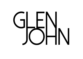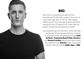

### **BIO**

Glen John is a professional open-format international DJ who had a passion for music at a very early age. Born in the UK, Glen began collecting vinyl from the age of seven and after owning his first CD decks at 13, it was clear his passion would one day become a career.

Since becoming a DJ full time in 2014, Glen has performed at top venues and luxury resorts around the world. UK bookings include **Café de Paris**, **Tropicana Beach Club**, **Century** and **Heaven London** plus brunch sets across the capital for the **Gaucho** chain. Corporate clients in the UK include **H&M**, **Uber** & **IBM**.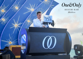

REETHI RAH Maldives

 $(0)$ 

proving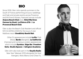# **BIO**

Since 2019, Glen John spends summers in the South of France performing at luxury weddings and high-end private events across Provence and the French Riviera. Featured venues include **Anjuna Beach Club** (Eze), **Hôtel Martinez Cannes by Hyatt**, **La Chèvre d'Or** & **Le Provencal Beach Club**.

Glen is also the Beach Club Resident and official NYE DJ (2019 & 2020) for the luxury 5-star Maldives resort **One&Only Reethi Rah**.

Other DJ appearances include **Le Six** Club (Nice), **Bardo** (Bangkok), **La Californie** (Cannes) and numerous London appearances which include **Gymbox**, **Edge Bar**, **Freedom Soho**, **Studio Spaces** & **Islington Academy**.

Glen John also took part in the **Gaydio Radio** New Year Takeover 2015 alongside DJs Soul Avengerz, Moto Blanco and Chew Fu.

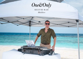

REETHI RAH Maldives

 $\sqrt{2}$ 

 $P$ ioneer  $D_j$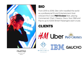

 $One\&Only$ **REETHI RAH** 

Maldives

### **BIO**

From 2015 to 2018, Glen John travelled the world as a professional DJ and Entertainment Host onboard the 5-star **P&O Cruises** fleet, playing Commercial, Chart, Classics, Disco, Soul, R&B and Pop to up to 4,000 British Passengers each cruise.

## **CLIENTS**

Hell Uber P&O CRUISES

**GAUCHO** 



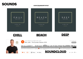### **SOUNDS**

### **CLICK TITLE BELOW TO PLAY**

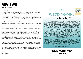### **REVIEWS**

Hannah Mercer · married on 08/10/2019

**黄素黄素黄 5.0 v** 

### Simply incredible

Wow...where do we start with trying to put into words how incredible Wildfire DJs (known as UK DJs Abroad at the time) were at our wedding?! No words will do justice to what they did but here goes...

I came across Wildfire DJs on Instagram and after Skyping with Nick we felt they were exactly what we were looking for but we had no idea just how perfect they would be. Nick was so easy to communicate with and so helpful with any questions we had from the first contact. We met Nick and Glen (who DJ'd on the day) at our venue a few months before the wedding and I think we spent more time laughing than actually talking serious plans which was a sure fire sign that they got us and our personalities.

I then spoke to Glen a few days before the wedding after trying to put a playlist together and Glen told me to trust him and that provided we had given an indication of the genres of music we wanted for each part of the day he would read the crowd on the day. I am SO SO glad I listened to him and we put our trust in him.

Glen was so much more than a DJ - from the moment he arrived he was helping with set up, he worked with our planner perfectly, even working out between them how they would get our bridal party to set off our confetti cannons during the first dance (love seeing you in the background of the videos counting down from 10!), and oh my goodness did he read the crowd! The music was PERFECT. From the truly special moment when I was waiting to walk out of the Château to walk down the aisle and heard him playing Rocket Man (we'd been to see Elton John just a few weeks before with the groomsmen), to the background dinner music, to the party, it was all absolutely spot on. So many of our quests asked where we'd found him and said just how incredible he was. Our friends were asking if we'd given him a playlist and couldn't believe it when we said no, he'd just played what he believed we wanted. It definitely says something when we only had a small wedding and the dance floor was never empty.

We also used Wildfire DJs for our lighting which Nick set up the day before the wedding. Nick was brilliant when advising us on what lighting we should have and the look he created on the rear terrace was exactly what we wanted, turning what was a beautiful outdoor space into something truly special for our wedding.

Glen was with us all day on the wedding day, he created the most perfect atmosphere for every single part of the day and he was an integral part of our wedding. It was an unforgettable day and we can honestly say from the bottom of our hearts that it would not have been the same without Glen & Wildfire DJs. Thank you so so much.

# WEDDINGWIRE

**TO WEDDINGWIRE** COUPLES' CHOICE **AWARDS** \*\*\*\*\* 2019

### "Simply the Best!"

"We have nothing but praise for the AMAZING DJ Glen John and UK DJs Abroad! From our planning stages to the wedding event itself. Glen and Nick's attentiveness, good humor, and incredible skills made for a fantastic experience and VERY fun night! As my wife and I were brainstorming music possibilities for different parts of the ceremony and evening, Glen and Nick were very responsive and helpful, providing suggestions and sample playlists, and prompting us to think about details and moments that benefit from musical accompaniment that we had not considered, such as our entrance to dinner and our cake presentation.

Thanks to their thoughtfulness and auidance we went into the wedding feeling very well covered on everything music. And indeed, the ceremony and dinner music was flawless. And when it came to the dancing -- WOW! We had provided Glen with a long list of favorite songs and artists, and Glen both incorporated these and took them as inspiration, applying his expertise to add all of the right songs and artists we had not thought of, making the night's set truly exceptional. His pacing and transitions were perfect, and his lighting of the dance floor set the mood for a party. And party we did! Our guests danced all night long, until 3:30 AM, which was later than planned, but Glen graciously and happily stayed-on for an extra hour, making for an epic night.

Throughout, so many of our friends raved to us about the music, saying Glen was by far the best wedding DJ they had ever experienced. We couldn't agree more! Thank you, Glen and UK DJs Abroad, for your professionalism, your attention to detail, your commitment, your positive vibes, your warmth, and your talent! We felt in very good hands with you from day one, and by 4 AM the night of the wedding Glen was not only DJ but friend. Having you as part of our wedding made it all the more magical and unforgettable!"

Elizabeth & Charlotte, July 2019

### **MORE UK UK DJS/WILDFIRE DJS<br>REVIEWS ON WEDDINGWIRE -CLICK HERE -**

Hannah & Dominic x Sent on 11/13/2019